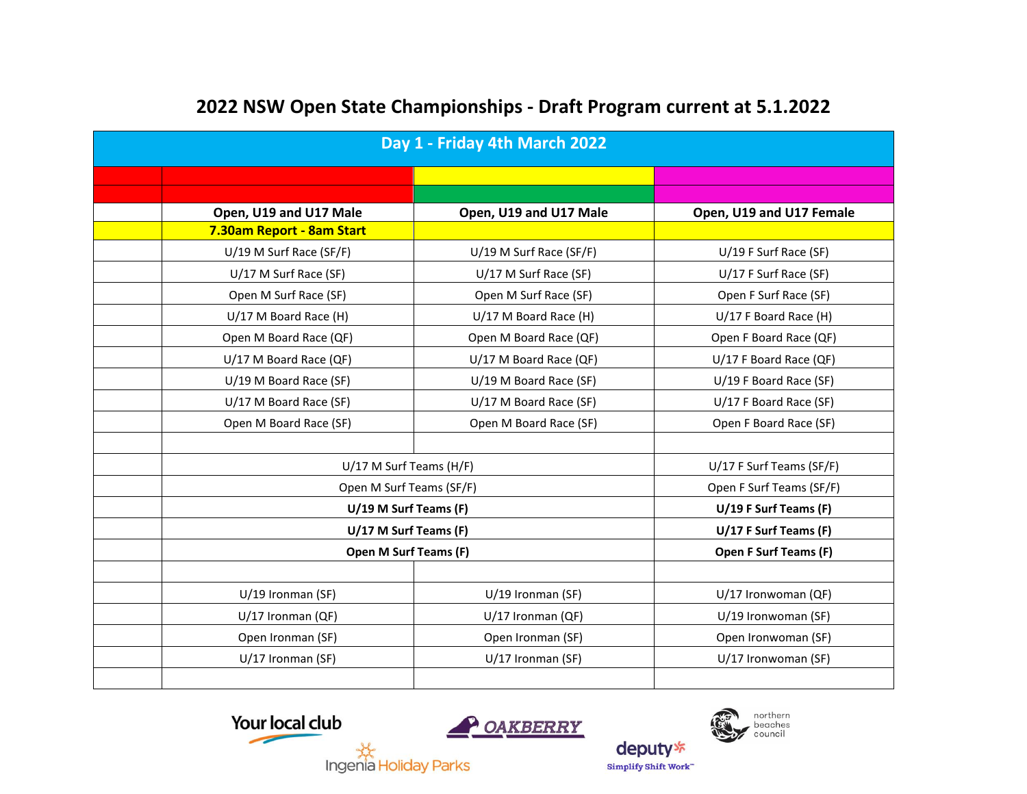| Day 1 - Friday 4th March 2022 |                           |                           |                          |  |
|-------------------------------|---------------------------|---------------------------|--------------------------|--|
|                               |                           |                           |                          |  |
|                               |                           |                           |                          |  |
|                               | Open, U19 and U17 Male    | Open, U19 and U17 Male    | Open, U19 and U17 Female |  |
|                               | 7.30am Report - 8am Start |                           |                          |  |
|                               | U/19 M Surf Race (SF/F)   | $U/19$ M Surf Race (SF/F) | $U/19$ F Surf Race (SF)  |  |
|                               | U/17 M Surf Race (SF)     | U/17 M Surf Race (SF)     | U/17 F Surf Race (SF)    |  |
|                               | Open M Surf Race (SF)     | Open M Surf Race (SF)     | Open F Surf Race (SF)    |  |
|                               | U/17 M Board Race (H)     | U/17 M Board Race (H)     | U/17 F Board Race (H)    |  |
|                               | Open M Board Race (QF)    | Open M Board Race (QF)    | Open F Board Race (QF)   |  |
|                               | U/17 M Board Race (QF)    | U/17 M Board Race (QF)    | U/17 F Board Race (QF)   |  |
|                               | U/19 M Board Race (SF)    | U/19 M Board Race (SF)    | U/19 F Board Race (SF)   |  |
|                               | U/17 M Board Race (SF)    | U/17 M Board Race (SF)    | U/17 F Board Race (SF)   |  |
|                               | Open M Board Race (SF)    | Open M Board Race (SF)    | Open F Board Race (SF)   |  |
|                               |                           |                           |                          |  |
|                               | U/17 M Surf Teams (H/F)   |                           | U/17 F Surf Teams (SF/F) |  |
|                               | Open M Surf Teams (SF/F)  |                           | Open F Surf Teams (SF/F) |  |
|                               | U/19 M Surf Teams (F)     | U/19 F Surf Teams (F)     |                          |  |
|                               | U/17 M Surf Teams (F)     | U/17 F Surf Teams (F)     |                          |  |
|                               | Open M Surf Teams (F)     | Open F Surf Teams (F)     |                          |  |
|                               |                           |                           |                          |  |
|                               | U/19 Ironman (SF)         | U/19 Ironman (SF)         | U/17 Ironwoman (QF)      |  |
|                               | U/17 Ironman (QF)         | U/17 Ironman (QF)         | U/19 Ironwoman (SF)      |  |
|                               | Open Ironman (SF)         | Open Ironman (SF)         | Open Ironwoman (SF)      |  |
|                               | U/17 Ironman (SF)         | U/17 Ironman (SF)         | U/17 Ironwoman (SF)      |  |
|                               |                           |                           |                          |  |

## **2022 NSW Open State Championships - Draft Program current at 5.1.2022**





deputy<sup>\*</sup>

Simplify Shift Work"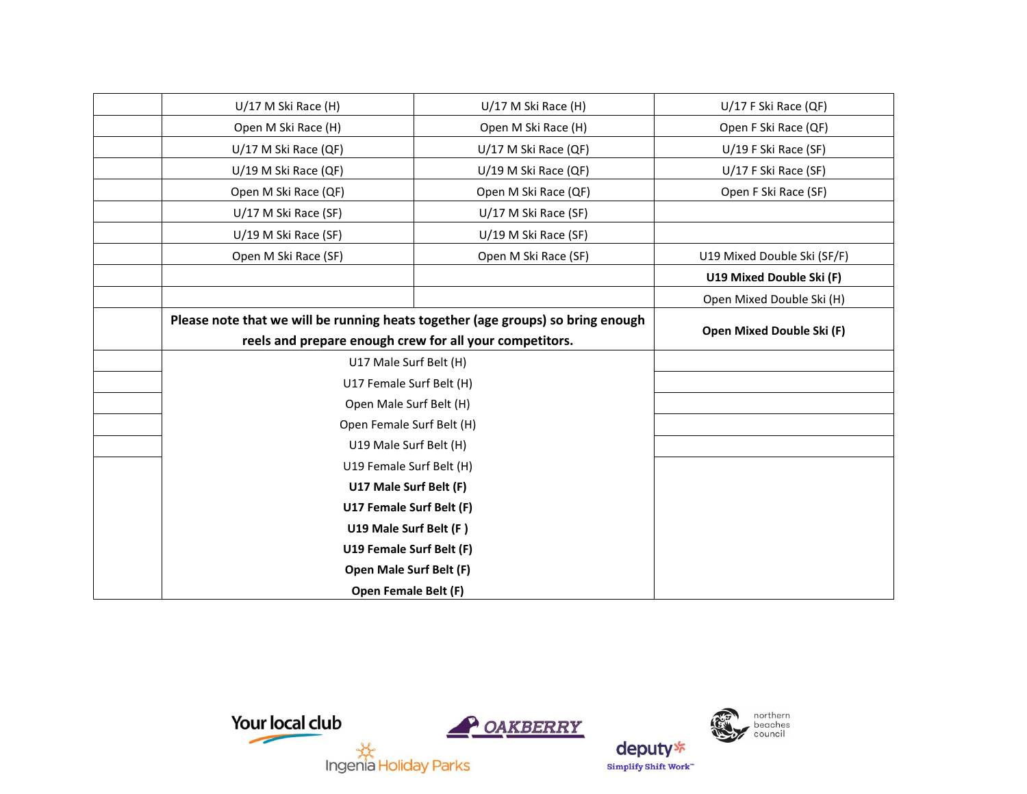| U/17 M Ski Race (H)                                                             | U/17 M Ski Race (H)       | $U/17$ F Ski Race (QF)      |
|---------------------------------------------------------------------------------|---------------------------|-----------------------------|
| Open M Ski Race (H)                                                             | Open M Ski Race (H)       | Open F Ski Race (QF)        |
| U/17 M Ski Race (QF)                                                            | U/17 M Ski Race (QF)      | U/19 F Ski Race (SF)        |
| U/19 M Ski Race (QF)                                                            | U/19 M Ski Race (QF)      | U/17 F Ski Race (SF)        |
| Open M Ski Race (QF)                                                            | Open M Ski Race (QF)      | Open F Ski Race (SF)        |
| U/17 M Ski Race (SF)                                                            | U/17 M Ski Race (SF)      |                             |
| U/19 M Ski Race (SF)                                                            | U/19 M Ski Race (SF)      |                             |
| Open M Ski Race (SF)                                                            | Open M Ski Race (SF)      | U19 Mixed Double Ski (SF/F) |
|                                                                                 |                           | U19 Mixed Double Ski (F)    |
|                                                                                 |                           | Open Mixed Double Ski (H)   |
| Please note that we will be running heats together (age groups) so bring enough | Open Mixed Double Ski (F) |                             |
| reels and prepare enough crew for all your competitors.                         |                           |                             |
| U17 Male Surf Belt (H)                                                          |                           |                             |
| U17 Female Surf Belt (H)                                                        |                           |                             |
| Open Male Surf Belt (H)                                                         |                           |                             |
| Open Female Surf Belt (H)                                                       |                           |                             |
| U19 Male Surf Belt (H)                                                          |                           |                             |
| U19 Female Surf Belt (H)                                                        |                           |                             |
| U17 Male Surf Belt (F)                                                          |                           |                             |
| U17 Female Surf Belt (F)                                                        |                           |                             |
| U19 Male Surf Belt (F)                                                          |                           |                             |
| U19 Female Surf Belt (F)                                                        |                           |                             |
| Open Male Surf Belt (F)                                                         |                           |                             |
| <b>Open Female Belt (F)</b>                                                     |                           |                             |



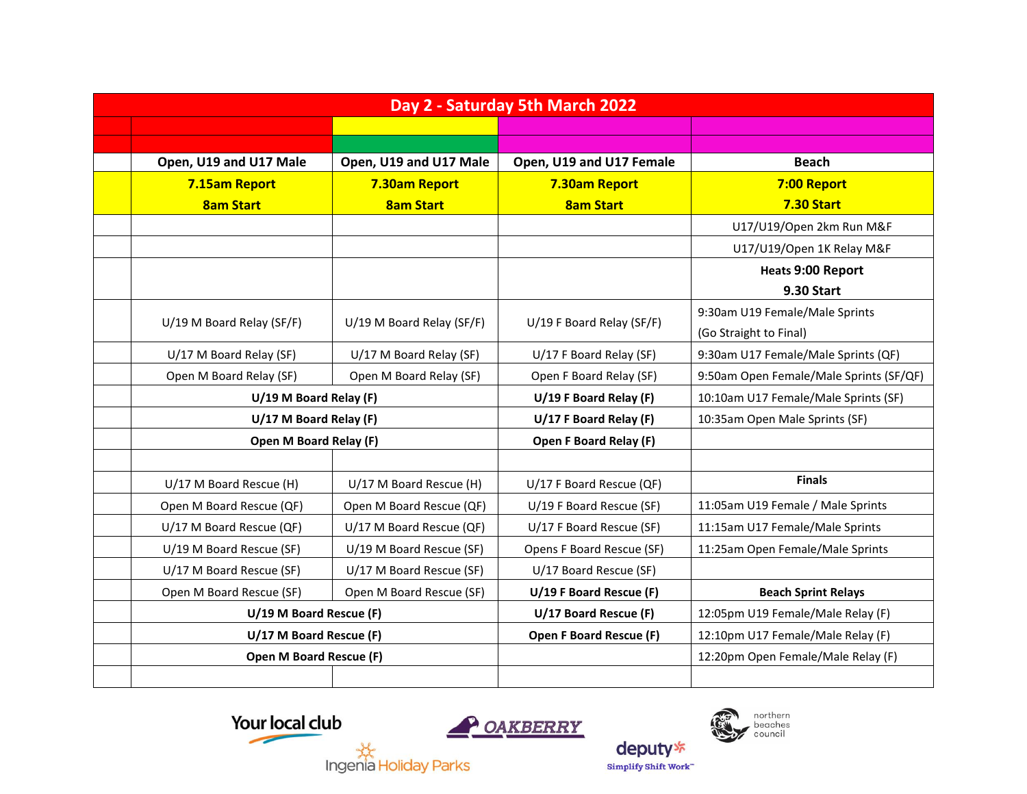| Day 2 - Saturday 5th March 2022 |                           |                           |                                |                                         |
|---------------------------------|---------------------------|---------------------------|--------------------------------|-----------------------------------------|
|                                 |                           |                           |                                |                                         |
|                                 |                           |                           |                                |                                         |
|                                 | Open, U19 and U17 Male    | Open, U19 and U17 Male    | Open, U19 and U17 Female       | <b>Beach</b>                            |
|                                 | 7.15am Report             | 7.30am Report             | 7.30am Report                  | 7:00 Report                             |
|                                 | <b>8am Start</b>          | <b>8am Start</b>          | <b>8am Start</b>               | <b>7.30 Start</b>                       |
|                                 |                           |                           |                                | U17/U19/Open 2km Run M&F                |
|                                 |                           |                           |                                | U17/U19/Open 1K Relay M&F               |
|                                 |                           |                           |                                | <b>Heats 9:00 Report</b>                |
|                                 |                           |                           |                                | <b>9.30 Start</b>                       |
|                                 |                           |                           |                                | 9:30am U19 Female/Male Sprints          |
|                                 | U/19 M Board Relay (SF/F) | U/19 M Board Relay (SF/F) | U/19 F Board Relay (SF/F)      | (Go Straight to Final)                  |
|                                 | U/17 M Board Relay (SF)   | U/17 M Board Relay (SF)   | U/17 F Board Relay (SF)        | 9:30am U17 Female/Male Sprints (QF)     |
|                                 | Open M Board Relay (SF)   | Open M Board Relay (SF)   | Open F Board Relay (SF)        | 9:50am Open Female/Male Sprints (SF/QF) |
|                                 | U/19 M Board Relay (F)    |                           | U/19 F Board Relay (F)         | 10:10am U17 Female/Male Sprints (SF)    |
|                                 | U/17 M Board Relay (F)    |                           | U/17 F Board Relay (F)         | 10:35am Open Male Sprints (SF)          |
|                                 | Open M Board Relay (F)    |                           | Open F Board Relay (F)         |                                         |
|                                 |                           |                           |                                |                                         |
|                                 | U/17 M Board Rescue (H)   | U/17 M Board Rescue (H)   | U/17 F Board Rescue (QF)       | <b>Finals</b>                           |
|                                 | Open M Board Rescue (QF)  | Open M Board Rescue (QF)  | U/19 F Board Rescue (SF)       | 11:05am U19 Female / Male Sprints       |
|                                 | U/17 M Board Rescue (QF)  | U/17 M Board Rescue (QF)  | U/17 F Board Rescue (SF)       | 11:15am U17 Female/Male Sprints         |
|                                 | U/19 M Board Rescue (SF)  | U/19 M Board Rescue (SF)  | Opens F Board Rescue (SF)      | 11:25am Open Female/Male Sprints        |
|                                 | U/17 M Board Rescue (SF)  | U/17 M Board Rescue (SF)  | U/17 Board Rescue (SF)         |                                         |
|                                 | Open M Board Rescue (SF)  | Open M Board Rescue (SF)  | U/19 F Board Rescue (F)        | <b>Beach Sprint Relays</b>              |
|                                 | U/19 M Board Rescue (F)   |                           | U/17 Board Rescue (F)          | 12:05pm U19 Female/Male Relay (F)       |
|                                 | U/17 M Board Rescue (F)   |                           | <b>Open F Board Rescue (F)</b> | 12:10pm U17 Female/Male Relay (F)       |
|                                 | Open M Board Rescue (F)   |                           |                                | 12:20pm Open Female/Male Relay (F)      |
|                                 |                           |                           |                                |                                         |





northern<br>beaches<br>council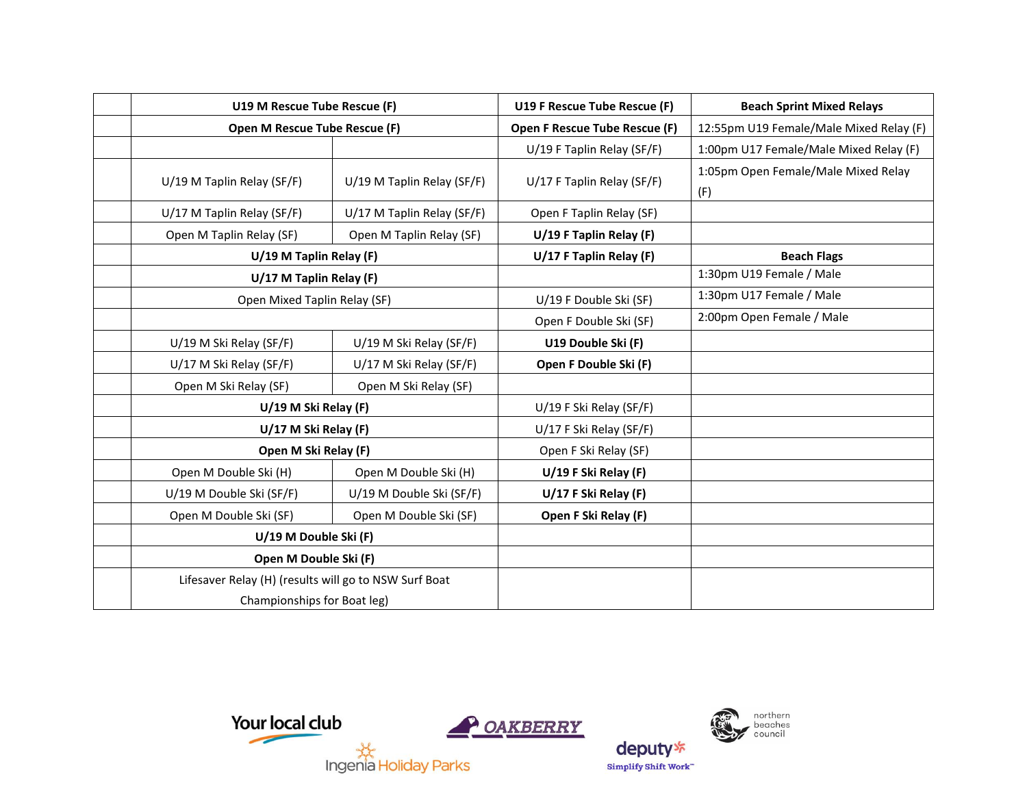| U19 M Rescue Tube Rescue (F)                                                         |                            | U19 F Rescue Tube Rescue (F)  | <b>Beach Sprint Mixed Relays</b>           |
|--------------------------------------------------------------------------------------|----------------------------|-------------------------------|--------------------------------------------|
| Open M Rescue Tube Rescue (F)                                                        |                            | Open F Rescue Tube Rescue (F) | 12:55pm U19 Female/Male Mixed Relay (F)    |
|                                                                                      |                            | U/19 F Taplin Relay (SF/F)    | 1:00pm U17 Female/Male Mixed Relay (F)     |
| U/19 M Taplin Relay (SF/F)                                                           | U/19 M Taplin Relay (SF/F) | U/17 F Taplin Relay (SF/F)    | 1:05pm Open Female/Male Mixed Relay<br>(F) |
| U/17 M Taplin Relay (SF/F)                                                           | U/17 M Taplin Relay (SF/F) | Open F Taplin Relay (SF)      |                                            |
| Open M Taplin Relay (SF)                                                             | Open M Taplin Relay (SF)   | U/19 F Taplin Relay (F)       |                                            |
| U/19 M Taplin Relay (F)                                                              |                            | U/17 F Taplin Relay (F)       | <b>Beach Flags</b>                         |
| U/17 M Taplin Relay (F)                                                              |                            |                               | 1:30pm U19 Female / Male                   |
| Open Mixed Taplin Relay (SF)                                                         |                            | U/19 F Double Ski (SF)        | 1:30pm U17 Female / Male                   |
|                                                                                      |                            | Open F Double Ski (SF)        | 2:00pm Open Female / Male                  |
| U/19 M Ski Relay (SF/F)                                                              | U/19 M Ski Relay (SF/F)    | U19 Double Ski (F)            |                                            |
| U/17 M Ski Relay (SF/F)                                                              | U/17 M Ski Relay (SF/F)    | Open F Double Ski (F)         |                                            |
| Open M Ski Relay (SF)                                                                | Open M Ski Relay (SF)      |                               |                                            |
| U/19 M Ski Relay (F)                                                                 |                            | U/19 F Ski Relay (SF/F)       |                                            |
| U/17 M Ski Relay (F)                                                                 |                            | U/17 F Ski Relay (SF/F)       |                                            |
| Open M Ski Relay (F)                                                                 |                            | Open F Ski Relay (SF)         |                                            |
| Open M Double Ski (H)                                                                | Open M Double Ski (H)      | U/19 F Ski Relay (F)          |                                            |
| U/19 M Double Ski (SF/F)                                                             | U/19 M Double Ski (SF/F)   | U/17 F Ski Relay (F)          |                                            |
| Open M Double Ski (SF)                                                               | Open M Double Ski (SF)     | Open F Ski Relay (F)          |                                            |
| U/19 M Double Ski (F)                                                                |                            |                               |                                            |
| Open M Double Ski (F)                                                                |                            |                               |                                            |
| Lifesaver Relay (H) (results will go to NSW Surf Boat<br>Championships for Boat leg) |                            |                               |                                            |



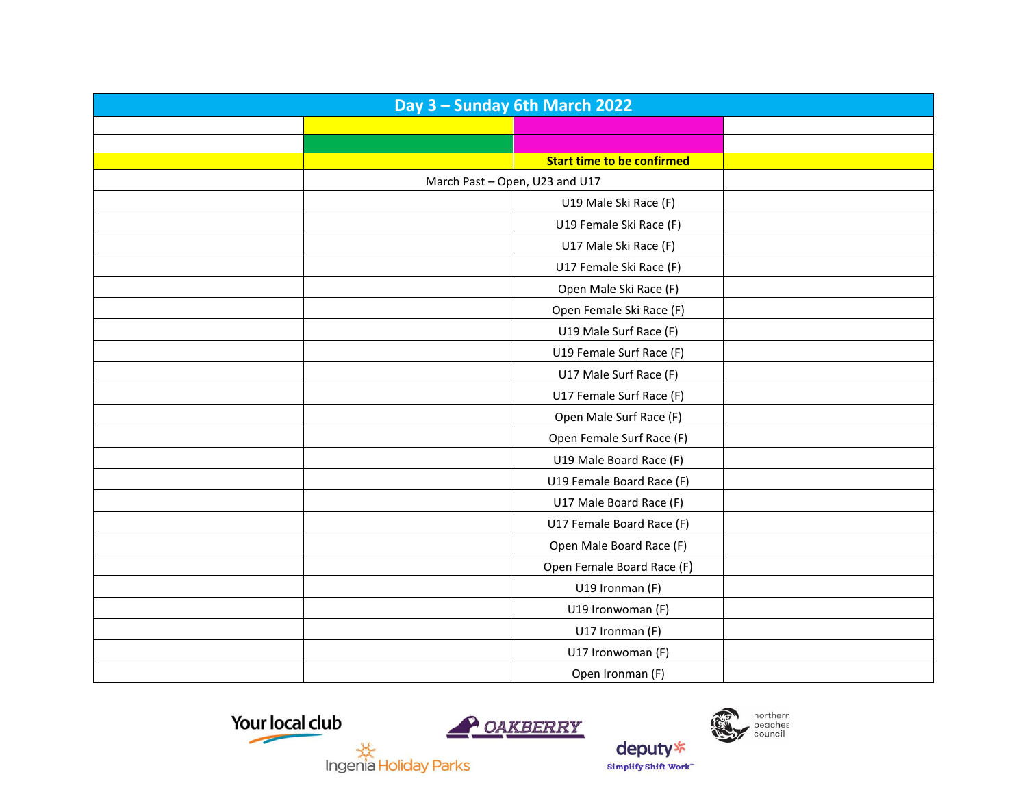| Day 3 - Sunday 6th March 2022 |                                   |  |  |
|-------------------------------|-----------------------------------|--|--|
|                               |                                   |  |  |
|                               |                                   |  |  |
|                               | <b>Start time to be confirmed</b> |  |  |
|                               | March Past - Open, U23 and U17    |  |  |
|                               | U19 Male Ski Race (F)             |  |  |
|                               | U19 Female Ski Race (F)           |  |  |
|                               | U17 Male Ski Race (F)             |  |  |
|                               | U17 Female Ski Race (F)           |  |  |
|                               | Open Male Ski Race (F)            |  |  |
|                               | Open Female Ski Race (F)          |  |  |
|                               | U19 Male Surf Race (F)            |  |  |
|                               | U19 Female Surf Race (F)          |  |  |
|                               | U17 Male Surf Race (F)            |  |  |
|                               | U17 Female Surf Race (F)          |  |  |
|                               | Open Male Surf Race (F)           |  |  |
|                               | Open Female Surf Race (F)         |  |  |
|                               | U19 Male Board Race (F)           |  |  |
|                               | U19 Female Board Race (F)         |  |  |
|                               | U17 Male Board Race (F)           |  |  |
|                               | U17 Female Board Race (F)         |  |  |
|                               | Open Male Board Race (F)          |  |  |
|                               | Open Female Board Race (F)        |  |  |
|                               | U19 Ironman (F)                   |  |  |
|                               | U19 Ironwoman (F)                 |  |  |
|                               | U17 Ironman (F)                   |  |  |
|                               | U17 Ironwoman (F)                 |  |  |
|                               | Open Ironman (F)                  |  |  |